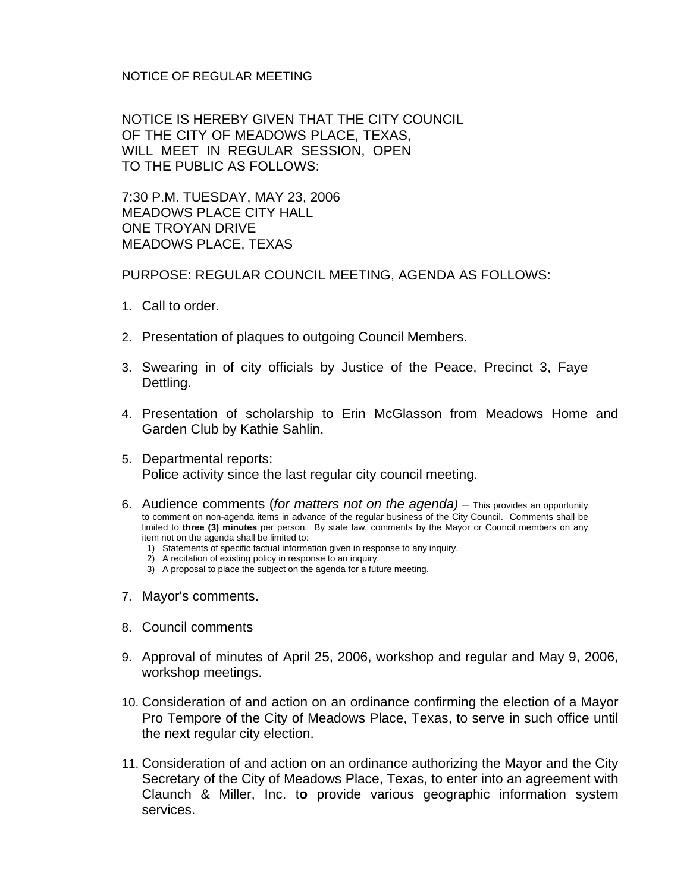## NOTICE OF REGULAR MEETING

NOTICE IS HEREBY GIVEN THAT THE CITY COUNCIL OF THE CITY OF MEADOWS PLACE, TEXAS, WILL MEET IN REGULAR SESSION, OPEN TO THE PUBLIC AS FOLLOWS:

7:30 P.M. TUESDAY, MAY 23, 2006 MEADOWS PLACE CITY HALL ONE TROYAN DRIVE MEADOWS PLACE, TEXAS

PURPOSE: REGULAR COUNCIL MEETING, AGENDA AS FOLLOWS:

- 1. Call to order.
- 2. Presentation of plaques to outgoing Council Members.
- 3. Swearing in of city officials by Justice of the Peace, Precinct 3, Faye Dettling.
- 4. Presentation of scholarship to Erin McGlasson from Meadows Home and Garden Club by Kathie Sahlin.
- 5. Departmental reports: Police activity since the last regular city council meeting.
- 6. Audience comments (*for matters not on the agenda)* This provides an opportunity to comment on non-agenda items in advance of the regular business of the City Council. Comments shall be limited to **three (3) minutes** per person. By state law, comments by the Mayor or Council members on any item not on the agenda shall be limited to:
	- 1) Statements of specific factual information given in response to any inquiry.
	- 2) A recitation of existing policy in response to an inquiry.
	- 3) A proposal to place the subject on the agenda for a future meeting.
- 7. Mayor's comments.
- 8. Council comments
- 9. Approval of minutes of April 25, 2006, workshop and regular and May 9, 2006, workshop meetings.
- 10. Consideration of and action on an ordinance confirming the election of a Mayor Pro Tempore of the City of Meadows Place, Texas, to serve in such office until the next regular city election.
- 11. Consideration of and action on an ordinance authorizing the Mayor and the City Secretary of the City of Meadows Place, Texas, to enter into an agreement with Claunch & Miller, Inc. t**o** provide various geographic information system services.